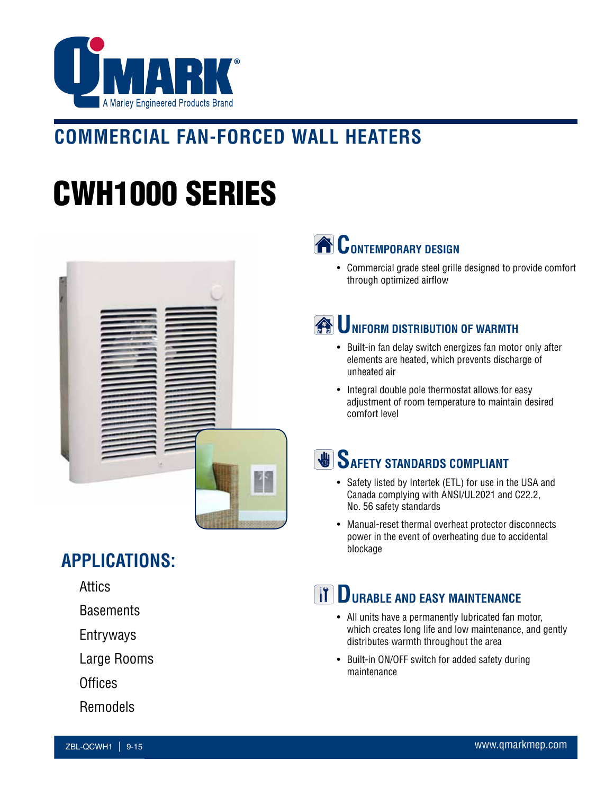

## **COMMERCIAL FAN-FORCED WALL HEATERS**

# CWH1000 SERIES



**APPLICATIONS:**

Attics

**Basements** 

Entryways

Large Rooms

**Offices** 

Remodels



• Commercial grade steel grille designed to provide comfort through optimized airflow

### **WE UNIFORM DISTRIBUTION OF WARMTH**

- Built-in fan delay switch energizes fan motor only after elements are heated, which prevents discharge of unheated air
- Integral double pole thermostat allows for easy adjustment of room temperature to maintain desired comfort level

### **SAFETY STANDARDS COMPLIANT**

- Safety listed by Intertek (ETL) for use in the USA and Canada complying with ANSI/UL2021 and C22.2, No. 56 safety standards
- Manual-reset thermal overheat protector disconnects power in the event of overheating due to accidental blockage

#### **TT DURABLE AND EASY MAINTENANCE**

- All units have a permanently lubricated fan motor, which creates long life and low maintenance, and gently distributes warmth throughout the area
- Built-in ON/OFF switch for added safety during maintenance